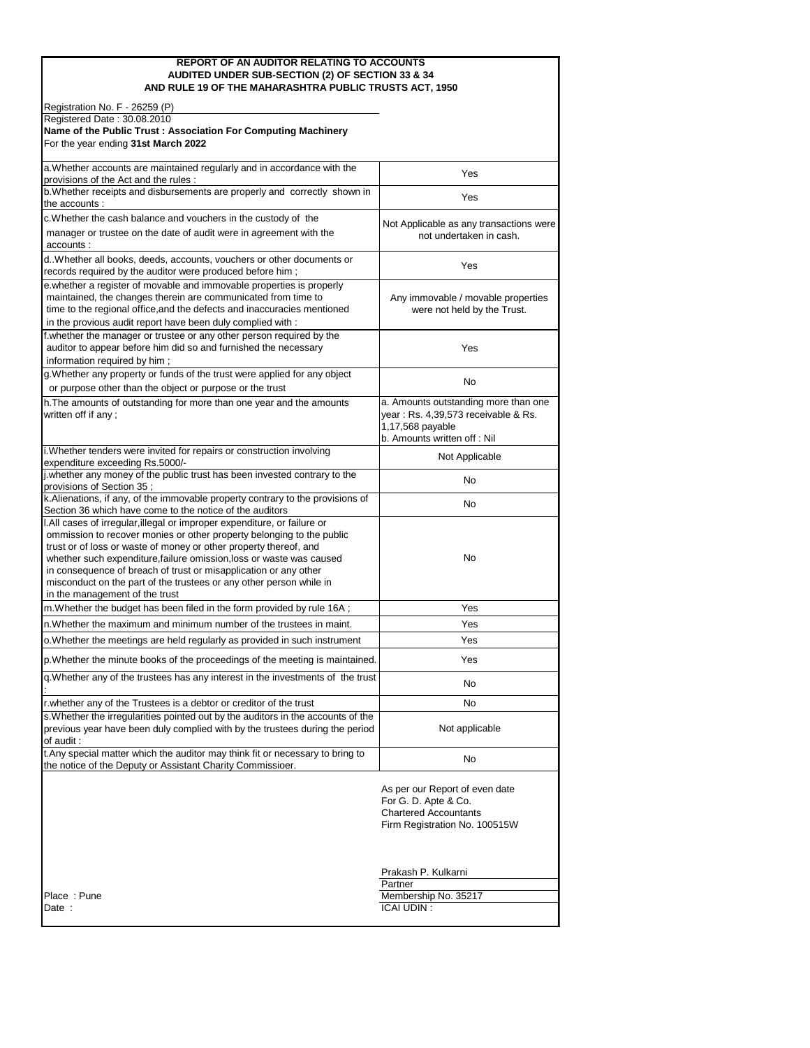#### **REPORT OF AN AUDITOR RELATING TO ACCOUNTS AUDITED UNDER SUB-SECTION (2) OF SECTION 33 & 34 AND RULE 19 OF THE MAHARASHTRA PUBLIC TRUSTS ACT, 1950**

| Registration No. F - 26259 (P)                                                                                                                                                                                                                                                                                                                                                                                                                                              |                                                                                                                                |
|-----------------------------------------------------------------------------------------------------------------------------------------------------------------------------------------------------------------------------------------------------------------------------------------------------------------------------------------------------------------------------------------------------------------------------------------------------------------------------|--------------------------------------------------------------------------------------------------------------------------------|
| Registered Date: 30.08.2010                                                                                                                                                                                                                                                                                                                                                                                                                                                 |                                                                                                                                |
| Name of the Public Trust: Association For Computing Machinery<br>For the year ending 31st March 2022                                                                                                                                                                                                                                                                                                                                                                        |                                                                                                                                |
|                                                                                                                                                                                                                                                                                                                                                                                                                                                                             |                                                                                                                                |
| a. Whether accounts are maintained regularly and in accordance with the<br>provisions of the Act and the rules:                                                                                                                                                                                                                                                                                                                                                             | Yes                                                                                                                            |
| b. Whether receipts and disbursements are properly and correctly shown in<br>the accounts :                                                                                                                                                                                                                                                                                                                                                                                 | Yes                                                                                                                            |
| c. Whether the cash balance and vouchers in the custody of the                                                                                                                                                                                                                                                                                                                                                                                                              | Not Applicable as any transactions were                                                                                        |
| manager or trustee on the date of audit were in agreement with the<br>accounts :                                                                                                                                                                                                                                                                                                                                                                                            | not undertaken in cash.                                                                                                        |
| d. Whether all books, deeds, accounts, vouchers or other documents or<br>records required by the auditor were produced before him;                                                                                                                                                                                                                                                                                                                                          | Yes                                                                                                                            |
| e.whether a register of movable and immovable properties is properly<br>maintained, the changes therein are communicated from time to<br>time to the regional office, and the defects and inaccuracies mentioned<br>in the provious audit report have been duly complied with :                                                                                                                                                                                             | Any immovable / movable properties<br>were not held by the Trust.                                                              |
| f.whether the manager or trustee or any other person required by the<br>auditor to appear before him did so and furnished the necessary<br>information required by him;                                                                                                                                                                                                                                                                                                     | Yes                                                                                                                            |
| g. Whether any property or funds of the trust were applied for any object<br>or purpose other than the object or purpose or the trust                                                                                                                                                                                                                                                                                                                                       | No                                                                                                                             |
| h. The amounts of outstanding for more than one year and the amounts<br>written off if any;                                                                                                                                                                                                                                                                                                                                                                                 | a. Amounts outstanding more than one<br>year: Rs. 4,39,573 receivable & Rs.<br>1,17,568 payable<br>b. Amounts written off: Nil |
| i. Whether tenders were invited for repairs or construction involving<br>expenditure exceeding Rs.5000/-                                                                                                                                                                                                                                                                                                                                                                    | Not Applicable                                                                                                                 |
| j.whether any money of the public trust has been invested contrary to the<br>provisions of Section 35;                                                                                                                                                                                                                                                                                                                                                                      | No                                                                                                                             |
| k. Alienations, if any, of the immovable property contrary to the provisions of<br>Section 36 which have come to the notice of the auditors                                                                                                                                                                                                                                                                                                                                 | No                                                                                                                             |
| I.All cases of irregular, illegal or improper expenditure, or failure or<br>ommission to recover monies or other property belonging to the public<br>trust or of loss or waste of money or other property thereof, and<br>whether such expenditure, failure omission, loss or waste was caused<br>in consequence of breach of trust or misapplication or any other<br>misconduct on the part of the trustees or any other person while in<br>in the management of the trust | No                                                                                                                             |
| m.Whether the budget has been filed in the form provided by rule 16A ;                                                                                                                                                                                                                                                                                                                                                                                                      | Yes                                                                                                                            |
| n. Whether the maximum and minimum number of the trustees in maint.                                                                                                                                                                                                                                                                                                                                                                                                         | Yes                                                                                                                            |
| o.Whether the meetings are held regularly as provided in such instrument                                                                                                                                                                                                                                                                                                                                                                                                    | Yes                                                                                                                            |
| p. Whether the minute books of the proceedings of the meeting is maintained.                                                                                                                                                                                                                                                                                                                                                                                                | Yes                                                                                                                            |
| g. Whether any of the trustees has any interest in the investments of the trust                                                                                                                                                                                                                                                                                                                                                                                             | No                                                                                                                             |
| r. whether any of the Trustees is a debtor or creditor of the trust                                                                                                                                                                                                                                                                                                                                                                                                         | No                                                                                                                             |
| s. Whether the irregularities pointed out by the auditors in the accounts of the<br>previous year have been duly complied with by the trustees during the period<br>of audit :                                                                                                                                                                                                                                                                                              | Not applicable                                                                                                                 |
| t. Any special matter which the auditor may think fit or necessary to bring to<br>the notice of the Deputy or Assistant Charity Commissioer.                                                                                                                                                                                                                                                                                                                                | No                                                                                                                             |
|                                                                                                                                                                                                                                                                                                                                                                                                                                                                             | As per our Report of even date<br>For G. D. Apte & Co.<br><b>Chartered Accountants</b><br>Firm Registration No. 100515W        |
|                                                                                                                                                                                                                                                                                                                                                                                                                                                                             | Prakash P. Kulkarni                                                                                                            |
|                                                                                                                                                                                                                                                                                                                                                                                                                                                                             | Partner                                                                                                                        |
| Place: Pune                                                                                                                                                                                                                                                                                                                                                                                                                                                                 | Membership No. 35217                                                                                                           |
| Date :                                                                                                                                                                                                                                                                                                                                                                                                                                                                      | <b>ICAI UDIN:</b>                                                                                                              |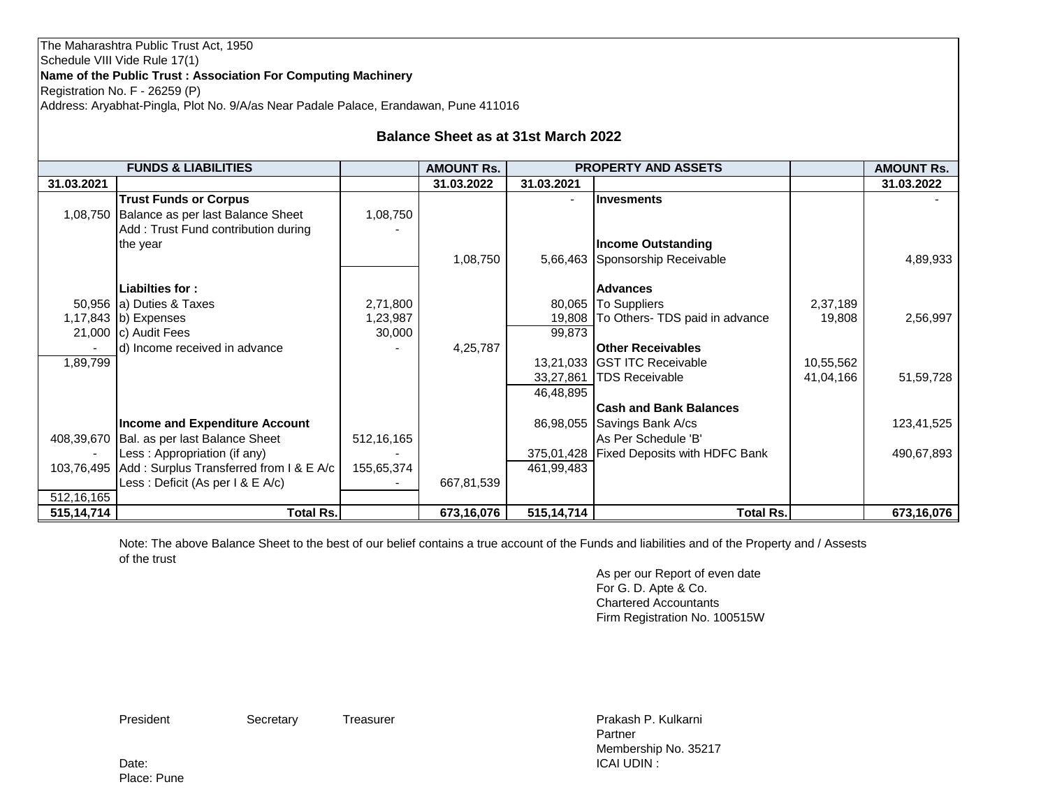| Name of the Public Trust: Association For Computing Machinery<br>Registration No. F - 26259 (P) |                                                    |              |                                            |              |                                            |           |                   |
|-------------------------------------------------------------------------------------------------|----------------------------------------------------|--------------|--------------------------------------------|--------------|--------------------------------------------|-----------|-------------------|
| Address: Aryabhat-Pingla, Plot No. 9/A/as Near Padale Palace, Erandawan, Pune 411016            |                                                    |              |                                            |              |                                            |           |                   |
|                                                                                                 |                                                    |              | <b>Balance Sheet as at 31st March 2022</b> |              |                                            |           |                   |
| <b>FUNDS &amp; LIABILITIES</b>                                                                  |                                                    |              | <b>AMOUNT Rs.</b>                          |              | <b>PROPERTY AND ASSETS</b>                 |           | <b>AMOUNT Rs.</b> |
| 31.03.2021                                                                                      |                                                    |              | 31.03.2022                                 | 31.03.2021   |                                            |           | 31.03.2022        |
|                                                                                                 | <b>Trust Funds or Corpus</b>                       |              |                                            |              | <b>Invesments</b>                          |           |                   |
| 1.08.750                                                                                        | Balance as per last Balance Sheet                  | 1,08,750     |                                            |              |                                            |           |                   |
|                                                                                                 | Add: Trust Fund contribution during                |              |                                            |              |                                            |           |                   |
|                                                                                                 | the year                                           |              |                                            |              | <b>Income Outstanding</b>                  |           |                   |
|                                                                                                 |                                                    |              | 1,08,750                                   |              | 5,66,463 Sponsorship Receivable            |           | 4,89,933          |
|                                                                                                 |                                                    |              |                                            |              |                                            |           |                   |
|                                                                                                 | Liabilties for:                                    |              |                                            |              | <b>Advances</b>                            |           |                   |
|                                                                                                 | 50,956 (a) Duties & Taxes                          | 2,71,800     |                                            |              | 80,065 To Suppliers                        | 2,37,189  |                   |
|                                                                                                 | 1,17,843 b) Expenses                               | 1,23,987     |                                            |              | 19,808   To Others- TDS paid in advance    | 19,808    | 2,56,997          |
|                                                                                                 | 21,000 $\vert$ c) Audit Fees                       | 30,000       |                                            | 99,873       |                                            |           |                   |
|                                                                                                 | d) Income received in advance                      |              | 4,25,787                                   |              | <b>Other Receivables</b>                   |           |                   |
| 1,89,799                                                                                        |                                                    |              |                                            |              | 13,21,033 GST ITC Receivable               | 10,55,562 |                   |
|                                                                                                 |                                                    |              |                                            | 46,48,895    | 33,27,861   TDS Receivable                 | 41,04,166 | 51,59,728         |
|                                                                                                 |                                                    |              |                                            |              | <b>Cash and Bank Balances</b>              |           |                   |
|                                                                                                 | <b>Income and Expenditure Account</b>              |              |                                            | 86,98,055    | Savings Bank A/cs                          |           | 123,41,525        |
| 408,39,670                                                                                      | Bal. as per last Balance Sheet                     | 512, 16, 165 |                                            |              | As Per Schedule 'B'                        |           |                   |
|                                                                                                 | Less: Appropriation (if any)                       |              |                                            |              | 375,01,428   Fixed Deposits with HDFC Bank |           | 490,67,893        |
|                                                                                                 | 103,76,495 Add: Surplus Transferred from I & E A/c | 155,65,374   |                                            | 461,99,483   |                                            |           |                   |
|                                                                                                 | Less : Deficit (As per I & E A/c)                  |              | 667,81,539                                 |              |                                            |           |                   |
| 512, 16, 165                                                                                    |                                                    |              |                                            |              |                                            |           |                   |
| 515,14,714                                                                                      | <b>Total Rs.</b>                                   |              | 673,16,076                                 | 515, 14, 714 | <b>Total Rs.</b>                           |           | 673,16,076        |

Note: The above Balance Sheet to the best of our belief contains a true account of the Funds and liabilities and of the Property and / Assests of the trust

As per our Report of even date For G. D. Apte & Co. Chartered Accountants Firm Registration No. 100515W

The Maharashtra Public Trust Act, 1950

Schedule VIII Vide Rule 17(1)

President Secretary Treasurer **President** Prakash P. Kulkarni Partner Membership No. 35217 Date: ICAI UDIN : ICAI UDIN : ICAI UDIN : ICAI UDIN : ICAI UDIN : ICAI UDIN : ICAI UDIN : ICAI UDIN : ICAI UDIN : ICAI UDIN : ICAI UDIN : ICAI UDIN : ICAI UDIN : ICAI UDIN : ICAI UDIN : ICAI UDIN : ICAI UDIN : ICAI UDIN :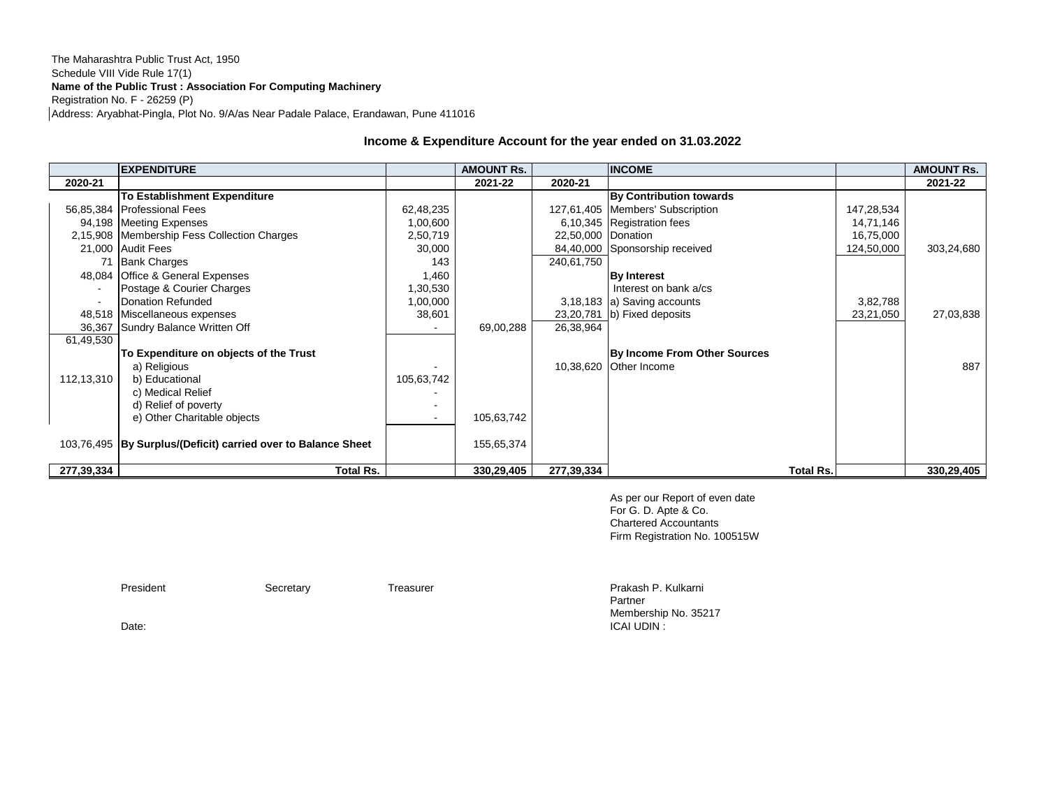#### The Maharashtra Public Trust Act, 1950 Schedule VIII Vide Rule 17(1) **Name of the Public Trust : Association For Computing Machinery** Registration No. F - 26259 (P) Address: Aryabhat-Pingla, Plot No. 9/A/as Near Padale Palace, Erandawan, Pune 411016

#### **Income & Expenditure Account for the year ended on 31.03.2022**

|            | <b>EXPENDITURE</b>                                            |            | <b>AMOUNT Rs.</b> |                    | <b>INCOME</b>                      |           |            | <b>AMOUNT Rs.</b> |
|------------|---------------------------------------------------------------|------------|-------------------|--------------------|------------------------------------|-----------|------------|-------------------|
| 2020-21    |                                                               |            | 2021-22           | 2020-21            |                                    |           |            | 2021-22           |
|            | <b>To Establishment Expenditure</b>                           |            |                   |                    | By Contribution towards            |           |            |                   |
|            | 56,85,384 Professional Fees                                   | 62,48,235  |                   |                    | 127,61,405   Members' Subscription |           | 147,28,534 |                   |
|            | 94,198 Meeting Expenses                                       | 1,00,600   |                   |                    | 6,10,345 Registration fees         |           | 14,71,146  |                   |
|            | 2,15,908 Membership Fess Collection Charges                   | 2,50,719   |                   | 22,50,000 Donation |                                    |           | 16,75,000  |                   |
|            | 21,000 Audit Fees                                             | 30,000     |                   |                    | 84,40,000 Sponsorship received     |           | 124,50,000 | 303,24,680        |
| 71         | <b>Bank Charges</b>                                           | 143        |                   | 240,61,750         |                                    |           |            |                   |
|            | 48,084 Office & General Expenses                              | 1,460      |                   |                    | <b>By Interest</b>                 |           |            |                   |
|            | Postage & Courier Charges                                     | 1,30,530   |                   |                    | Interest on bank a/cs              |           |            |                   |
|            | Donation Refunded                                             | 1,00,000   |                   |                    | 3,18,183 a) Saving accounts        |           | 3,82,788   |                   |
|            | 48,518 Miscellaneous expenses                                 | 38,601     |                   |                    | 23,20,781 b) Fixed deposits        |           | 23,21,050  | 27,03,838         |
|            | 36,367 Sundry Balance Written Off                             |            | 69,00,288         | 26,38,964          |                                    |           |            |                   |
| 61,49,530  |                                                               |            |                   |                    |                                    |           |            |                   |
|            | To Expenditure on objects of the Trust                        |            |                   |                    | By Income From Other Sources       |           |            |                   |
|            | a) Religious                                                  |            |                   |                    | 10,38,620 Other Income             |           |            | 887               |
| 112,13,310 | b) Educational                                                | 105,63,742 |                   |                    |                                    |           |            |                   |
|            | c) Medical Relief                                             |            |                   |                    |                                    |           |            |                   |
|            | d) Relief of poverty                                          |            |                   |                    |                                    |           |            |                   |
|            | e) Other Charitable objects                                   | $\sim$     | 105,63,742        |                    |                                    |           |            |                   |
|            |                                                               |            |                   |                    |                                    |           |            |                   |
|            | 103,76,495 By Surplus/(Deficit) carried over to Balance Sheet |            | 155,65,374        |                    |                                    |           |            |                   |
|            |                                                               |            |                   |                    |                                    |           |            |                   |
| 277,39,334 | <b>Total Rs.</b>                                              |            | 330,29,405        | 277,39,334         |                                    | Total Rs. |            | 330,29,405        |

As per our Report of even date For G. D. Apte & Co. Chartered Accountants Firm Registration No. 100515W

President Secretary **Treasurer President President** Prakash P. Kulkarni Partner Membership No. 35217<br>ICAI UDIN : Date: ICAI UDIN :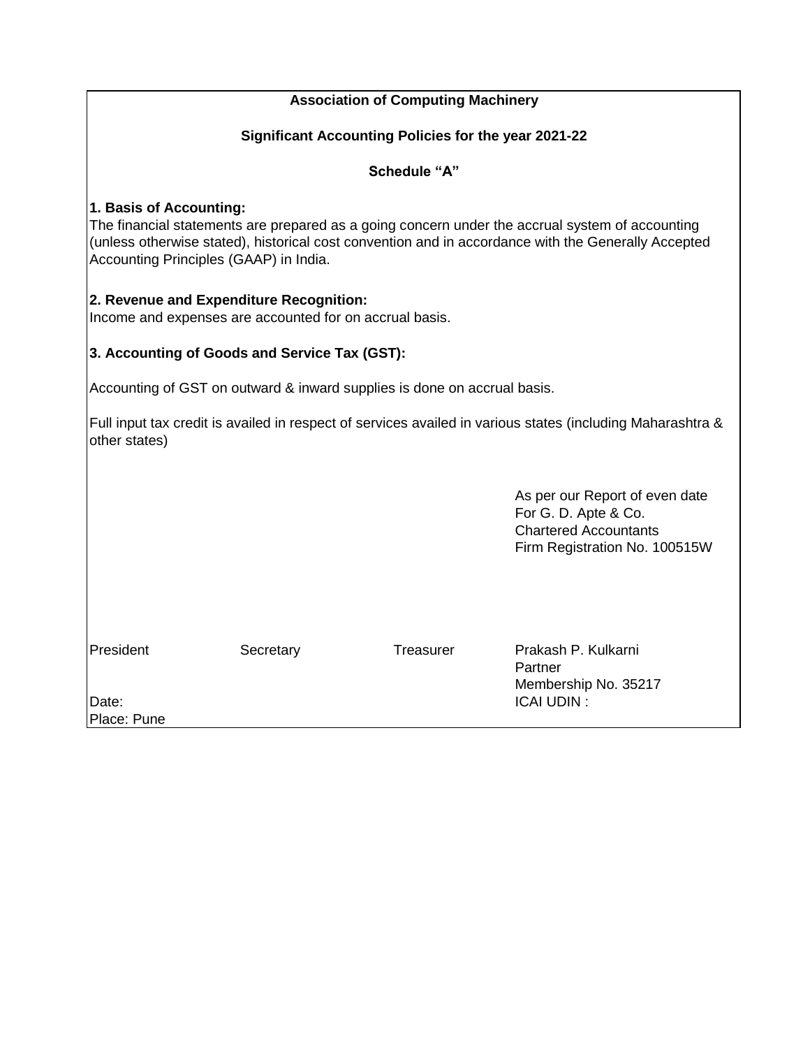# **Association of Computing Machinery**

#### **Significant Accounting Policies for the year 2021-22**

## **Schedule "A"**

## **1. Basis of Accounting:**

The financial statements are prepared as a going concern under the accrual system of accounting (unless otherwise stated), historical cost convention and in accordance with the Generally Accepted Accounting Principles (GAAP) in India.

## **2. Revenue and Expenditure Recognition:**

Income and expenses are accounted for on accrual basis.

# **3. Accounting of Goods and Service Tax (GST):**

Accounting of GST on outward & inward supplies is done on accrual basis.

Full input tax credit is availed in respect of services availed in various states (including Maharashtra & other states)

> As per our Report of even date For G. D. Apte & Co. Chartered Accountants Firm Registration No. 100515W

| President   | Secretary | Treasurer | Prakash P. Kulkarni  |  |
|-------------|-----------|-----------|----------------------|--|
|             |           |           | Partner              |  |
|             |           |           | Membership No. 35217 |  |
| Date:       |           |           | <b>ICAI UDIN:</b>    |  |
| Place: Pune |           |           |                      |  |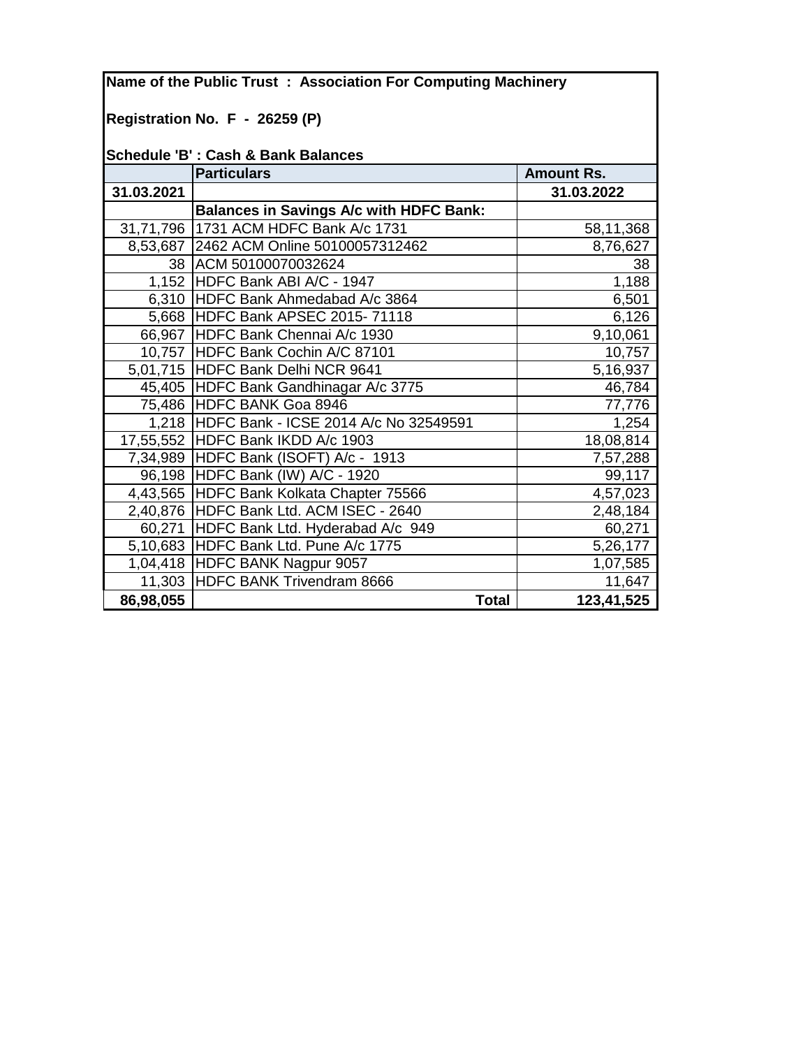**Name of the Public Trust : Association For Computing Machinery Registration No. F - 26259 (P) Schedule 'B' : Cash & Bank Balances Particulars Amount Rs. 31.03.2021 31.03.2022 Balances in Savings A/c with HDFC Bank:** 31,71,796 1731 ACM HDFC Bank A/c 1731 58,11,368 8,53,687 2462 ACM Online 50100057312462 8,76,627 38 ACM 50100070032624 38 1,152 HDFC Bank ABI A/C - 1947 1,188 6,310 HDFC Bank Ahmedabad A/c 3864 6,501 5,668 HDFC Bank APSEC 2015- 71118 **6.126** 66,967 HDFC Bank Chennai A/c 1930 9,10,061 10,757 HDFC Bank Cochin A/C 87101 10,757 10,757 5,01,715 HDFC Bank Delhi NCR 9641 [13,201,715 | 5,16,937 45,405 HDFC Bank Gandhinagar A/c 3775 46,784 75,486 HDFC BANK Goa 8946 77,776 1,218 HDFC Bank - ICSE 2014 A/c No 32549591 | 1,254 17,55,552 HDFC Bank IKDD  $\overline{A/c}$  1903 7,34,989 HDFC Bank (ISOFT) A/c - 1913 | 7,57,288 96,198 HDFC Bank (IW) A/C - 1920 99,117 4,43,565 HDFC Bank Kolkata Chapter 75566 4,57,023 2,40,876 HDFC Bank Ltd. ACM ISEC - 2640 2,48,184 60,271 HDFC Bank Ltd. Hyderabad A/c 949 60,271 5,10,683 HDFC Bank Ltd. Pune A/c 1775 15,26,177 1,04,418 HDFC BANK Nagpur 9057 1,07,585 11,303 HDFC BANK Trivendram 8666 11,303 HDFC BANK Trivendram 8666  **86,98,055 Total 123,41,525**